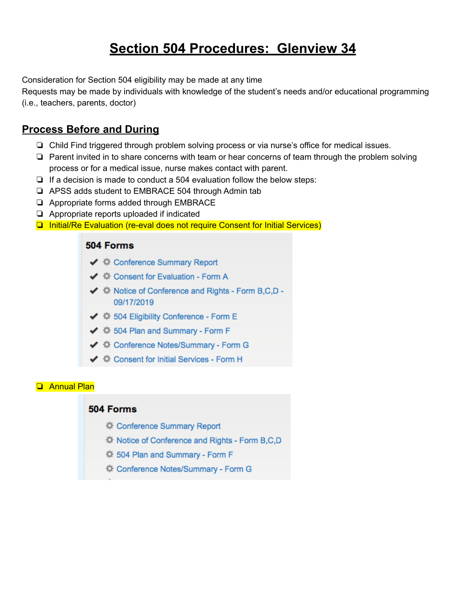## **Section 504 Procedures: Glenview 34**

Consideration for Section 504 eligibility may be made at any time

Requests may be made by individuals with knowledge of the student's needs and/or educational programming (i.e., teachers, parents, doctor)

### **Process Before and During**

- ❏ Child Find triggered through problem solving process or via nurse's office for medical issues.
- ❏ Parent invited in to share concerns with team or hear concerns of team through the problem solving process or for a medical issue, nurse makes contact with parent.
- ❏ If a decision is made to conduct a 504 evaluation follow the below steps:
- ❏ APSS adds student to EMBRACE 504 through Admin tab
- ❏ Appropriate forms added through EMBRACE
- ❏ Appropriate reports uploaded if indicated
- ❏ Initial/Re Evaluation (re-eval does not require Consent for Initial Services)

#### 504 Forms

- ← 章 Conference Summary Report
- ←  $\clubsuit$  Consent for Evaluation Form A
- ◆ ※ Notice of Conference and Rights Form B,C,D -09/17/2019
- ← 章 504 Eligibility Conference Form E
- ←  $\frac{40}{30}$  504 Plan and Summary Form F
- ← 章 Conference Notes/Summary Form G
- ←  $\hat{\mathbb{Q}}$  Consent for Initial Services Form H

#### ❏ Annual Plan

#### 504 Forms

- Conference Summary Report
- <sup>1</sup> Notice of Conference and Rights Form B,C,D
- 14 504 Plan and Summary Form F
- Conference Notes/Summary Form G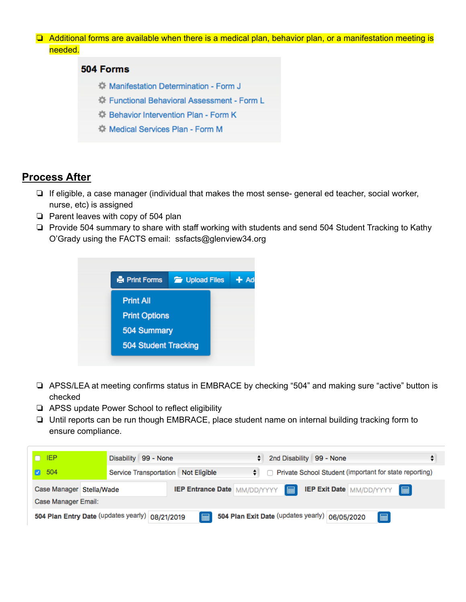❏ Additional forms are available when there is a medical plan, behavior plan, or a manifestation meeting is needed.

#### 504 Forms

- Manifestation Determination Form J
- <sup>1</sup> Functional Behavioral Assessment Form L
- C: Behavior Intervention Plan Form K
- **14 Medical Services Plan Form M**

#### **Process After**

- ❏ If eligible, a case manager (individual that makes the most sense- general ed teacher, social worker, nurse, etc) is assigned
- ❏ Parent leaves with copy of 504 plan
- ❏ Provide 504 summary to share with staff working with students and send 504 Student Tracking to Kathy O'Grady using the FACTS email: ssfacts@glenview34.org



- ❏ APSS/LEA at meeting confirms status in EMBRACE by checking "504" and making sure "active" button is checked
- ❏ APSS update Power School to reflect eligibility
- ❏ Until reports can be run though EMBRACE, place student name on internal building tracking form to ensure compliance.

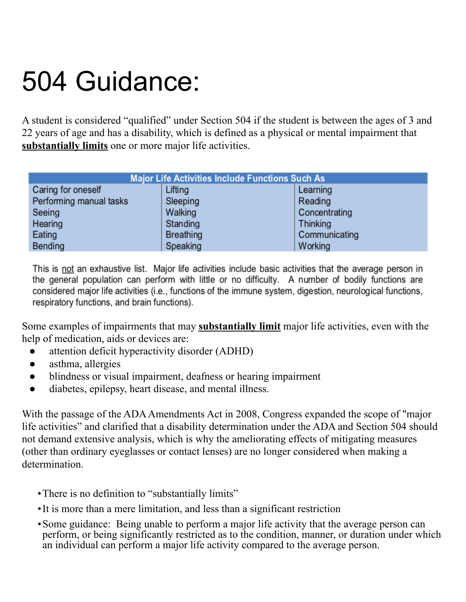# 504 Guidance:

A student is considered "qualified" under Section 504 if the student is between the ages of 3 and 22 years of age and has a disability, which is defined as a physical or mental impairment that **substantially limits** one or more major life activities.

| <b>Major Life Activities Include Functions Such As</b> |                  |                 |
|--------------------------------------------------------|------------------|-----------------|
| Caring for oneself                                     | Lifting          | Learning        |
| Performing manual tasks                                | Sleeping         | Reading         |
| Seeing                                                 | Walking          | Concentrating   |
| Hearing                                                | Standing         | <b>Thinking</b> |
| Eating                                                 | <b>Breathing</b> | Communicating   |
| <b>Bending</b>                                         | Speaking         | Working         |

This is not an exhaustive list. Major life activities include basic activities that the average person in the general population can perform with little or no difficulty. A number of bodily functions are considered major life activities (i.e., functions of the immune system, digestion, neurological functions, respiratory functions, and brain functions).

Some examples of impairments that may **substantially limit** major life activities, even with the help of medication, aids or devices are:

- attention deficit hyperactivity disorder (ADHD)
- asthma, allergies
- blindness or visual impairment, deafness or hearing impairment
- diabetes, epilepsy, heart disease, and mental illness.

With the passage of the ADA Amendments Act in 2008, Congress expanded the scope of "major" life activities" and clarified that a disability determination under the ADA and Section 504 should not demand extensive analysis, which is why the ameliorating effects of mitigating measures (other than ordinary eyeglasses or contact lenses) are no longer considered when making a determination.

- •There is no definition to "substantially limits"
- •It is more than a mere limitation, and less than a significant restriction
- •Some guidance: Being unable to perform a major life activity that the average person can perform, or being significantly restricted as to the condition, manner, or duration under which an individual can perform a major life activity compared to the average person.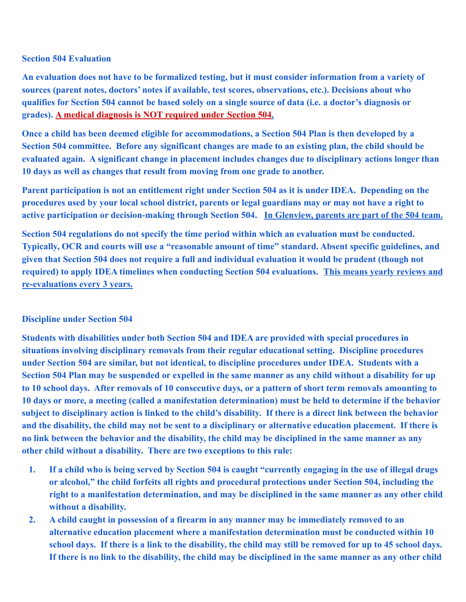#### **Section 504 Evaluation**

**An evaluation does not have to be formalized testing, but it must consider information from a variety of sources (parent notes, doctors' notes if available, test scores, observations, etc.). Decisions about who qualifies for Section 504 cannot be based solely on a single source of data (i.e. a doctor's diagnosis or grades). A medical diagnosis is NOT required under Section 504.**

**Once a child has been deemed eligible for accommodations, a Section 504 Plan is then developed by a Section 504 committee. Before any significant changes are made to an existing plan, the child should be evaluated again. A significant change in placement includes changes due to disciplinary actions longer than 10 days as well as changes that result from moving from one grade to another.**

**Parent participation is not an entitlement right under Section 504 as it is under IDEA. Depending on the procedures used by your local school district, parents or legal guardians may or may not have a right to active participation or decision-making through Section 504. In Glenview, parents are part of the 504 team.**

**Section 504 regulations do not specify the time period within which an evaluation must be conducted. Typically, OCR and courts will use a "reasonable amount of time" standard. Absent specific guidelines, and given that Section 504 does not require a full and individual evaluation it would be prudent (though not required) to apply IDEA timelines when conducting Section 504 evaluations. This means yearly reviews and re-evaluations every 3 years.**

#### **Discipline under Section 504**

**Students with disabilities under both Section 504 and IDEA are provided with special procedures in situations involving disciplinary removals from their regular educational setting. Discipline procedures under Section 504 are similar, but not identical, to discipline procedures under IDEA. Students with a Section 504 Plan may be suspended or expelled in the same manner as any child without a disability for up to 10 school days. After removals of 10 consecutive days, or a pattern of short term removals amounting to 10 days or more, a meeting (called a manifestation determination) must be held to determine if the behavior subject to disciplinary action is linked to the child's disability. If there is a direct link between the behavior and the disability, the child may not be sent to a disciplinary or alternative education placement. If there is no link between the behavior and the disability, the child may be disciplined in the same manner as any other child without a disability. There are two exceptions to this rule:**

- **1. If a child who is being served by Section 504 is caught "currently engaging in the use of illegal drugs or alcohol," the child forfeits all rights and procedural protections under Section 504, including the right to a manifestation determination, and may be disciplined in the same manner as any other child without a disability.**
- **2. A child caught in possession of a firearm in any manner may be immediately removed to an alternative education placement where a manifestation determination must be conducted within 10 school days. If there is a link to the disability, the child may still be removed for up to 45 school days. If there is no link to the disability, the child may be disciplined in the same manner as any other child**